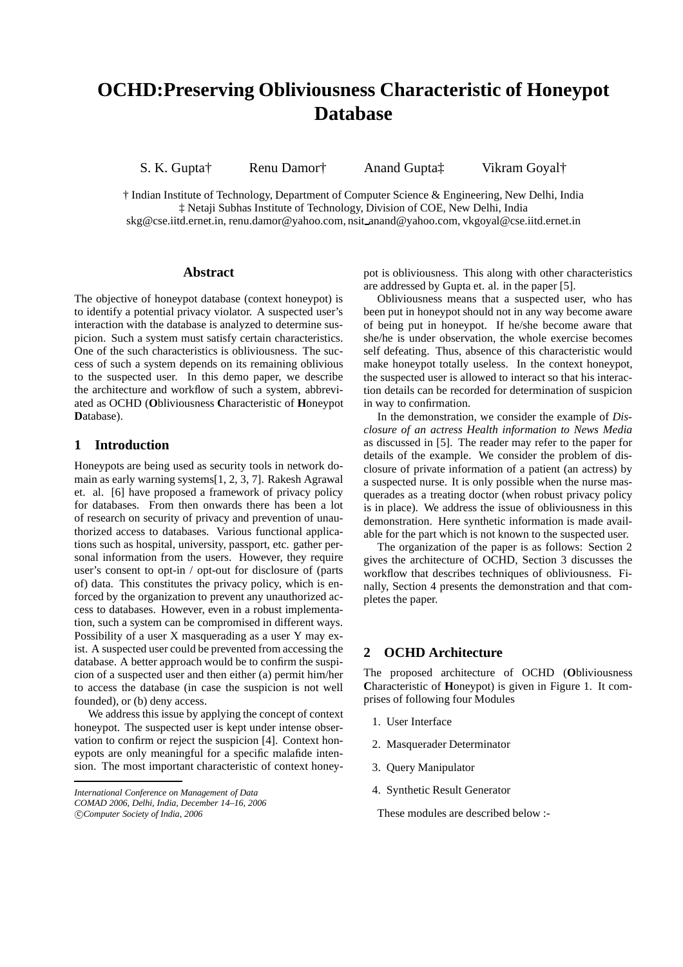# **OCHD:Preserving Obliviousness Characteristic of Honeypot Database**

S. K. Gupta† Renu Damor† Anand Gupta‡ Vikram Goyal†

† Indian Institute of Technology, Department of Computer Science & Engineering, New Delhi, India ‡ Netaji Subhas Institute of Technology, Division of COE, New Delhi, India skg@cse.iitd.ernet.in, renu.damor@yahoo.com, nsit anand@yahoo.com, vkgoyal@cse.iitd.ernet.in

## **Abstract**

The objective of honeypot database (context honeypot) is to identify a potential privacy violator. A suspected user's interaction with the database is analyzed to determine suspicion. Such a system must satisfy certain characteristics. One of the such characteristics is obliviousness. The success of such a system depends on its remaining oblivious to the suspected user. In this demo paper, we describe the architecture and workflow of such a system, abbreviated as OCHD (**O**bliviousness **C**haracteristic of **H**oneypot **D**atabase).

# **1 Introduction**

Honeypots are being used as security tools in network domain as early warning systems[1, 2, 3, 7]. Rakesh Agrawal et. al. [6] have proposed a framework of privacy policy for databases. From then onwards there has been a lot of research on security of privacy and prevention of unauthorized access to databases. Various functional applications such as hospital, university, passport, etc. gather personal information from the users. However, they require user's consent to opt-in / opt-out for disclosure of (parts of) data. This constitutes the privacy policy, which is enforced by the organization to prevent any unauthorized access to databases. However, even in a robust implementation, such a system can be compromised in different ways. Possibility of a user X masquerading as a user Y may exist. A suspected user could be prevented from accessing the database. A better approach would be to confirm the suspicion of a suspected user and then either (a) permit him/her to access the database (in case the suspicion is not well founded), or (b) deny access.

We address this issue by applying the concept of context honeypot. The suspected user is kept under intense observation to confirm or reject the suspicion [4]. Context honeypots are only meaningful for a specific malafide intension. The most important characteristic of context honeypot is obliviousness. This along with other characteristics are addressed by Gupta et. al. in the paper [5].

Obliviousness means that a suspected user, who has been put in honeypot should not in any way become aware of being put in honeypot. If he/she become aware that she/he is under observation, the whole exercise becomes self defeating. Thus, absence of this characteristic would make honeypot totally useless. In the context honeypot, the suspected user is allowed to interact so that his interaction details can be recorded for determination of suspicion in way to confirmation.

In the demonstration, we consider the example of *Disclosure of an actress Health information to News Media* as discussed in [5]. The reader may refer to the paper for details of the example. We consider the problem of disclosure of private information of a patient (an actress) by a suspected nurse. It is only possible when the nurse masquerades as a treating doctor (when robust privacy policy is in place). We address the issue of obliviousness in this demonstration. Here synthetic information is made available for the part which is not known to the suspected user.

The organization of the paper is as follows: Section 2 gives the architecture of OCHD, Section 3 discusses the workflow that describes techniques of obliviousness. Finally, Section 4 presents the demonstration and that completes the paper.

## **2 OCHD Architecture**

The proposed architecture of OCHD (**O**bliviousness **C**haracteristic of **H**oneypot) is given in Figure 1. It comprises of following four Modules

- 1. User Interface
- 2. Masquerader Determinator
- 3. Query Manipulator
- 4. Synthetic Result Generator

These modules are described below :-

*International Conference on Management of Data*

*COMAD 2006, Delhi, India, December 14–16, 2006* c *Computer Society of India, 2006*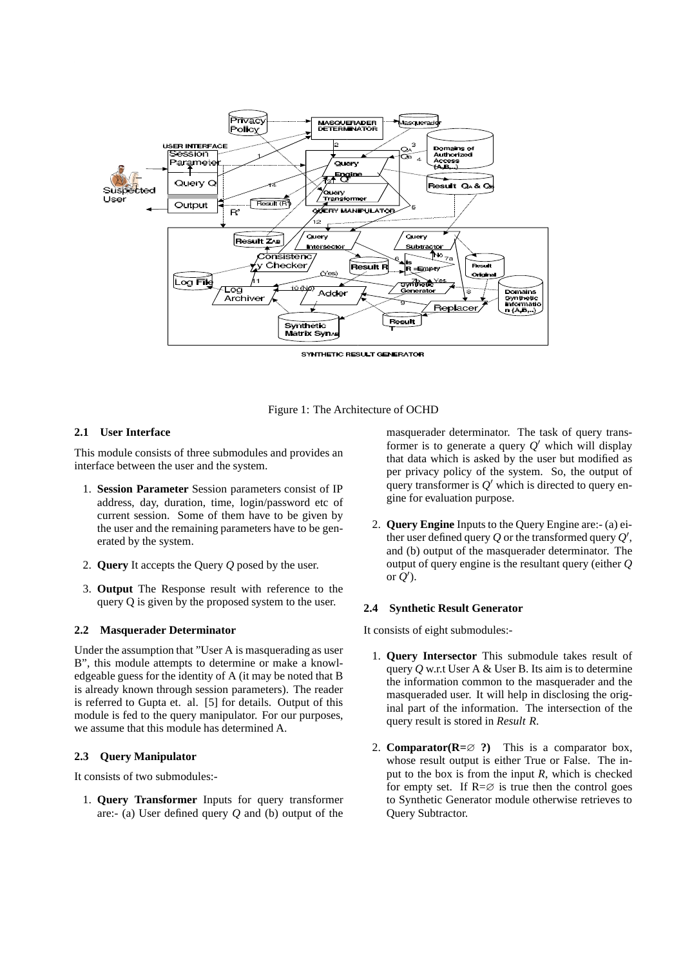

Figure 1: The Architecture of OCHD

### **2.1 User Interface**

This module consists of three submodules and provides an interface between the user and the system.

- 1. **Session Parameter** Session parameters consist of IP address, day, duration, time, login/password etc of current session. Some of them have to be given by the user and the remaining parameters have to be generated by the system.
- 2. **Query** It accepts the Query *Q* posed by the user.
- 3. **Output** The Response result with reference to the query Q is given by the proposed system to the user.

#### **2.2 Masquerader Determinator**

Under the assumption that "User A is masquerading as user B", this module attempts to determine or make a knowledgeable guess for the identity of A (it may be noted that B is already known through session parameters). The reader is referred to Gupta et. al. [5] for details. Output of this module is fed to the query manipulator. For our purposes, we assume that this module has determined A.

#### **2.3 Query Manipulator**

It consists of two submodules:-

1. **Query Transformer** Inputs for query transformer are:- (a) User defined query *Q* and (b) output of the masquerader determinator. The task of query transformer is to generate a query  $Q'$  which will display that data which is asked by the user but modified as per privacy policy of the system. So, the output of query transformer is  $Q'$  which is directed to query engine for evaluation purpose.

2. **Query Engine** Inputs to the Query Engine are:- (a) either user defined query  $Q$  or the transformed query  $Q'$ , and (b) output of the masquerader determinator. The output of query engine is the resultant query (either *Q* or  $Q'$ ).

#### **2.4 Synthetic Result Generator**

It consists of eight submodules:-

- 1. **Query Intersector** This submodule takes result of query *Q* w.r.t User A & User B. Its aim is to determine the information common to the masquerader and the masqueraded user. It will help in disclosing the original part of the information. The intersection of the query result is stored in *Result R*.
- 2. **Comparator(R=**∅ **?)** This is a comparator box, whose result output is either True or False. The input to the box is from the input *R*, which is checked for empty set. If  $R = \emptyset$  is true then the control goes to Synthetic Generator module otherwise retrieves to Query Subtractor.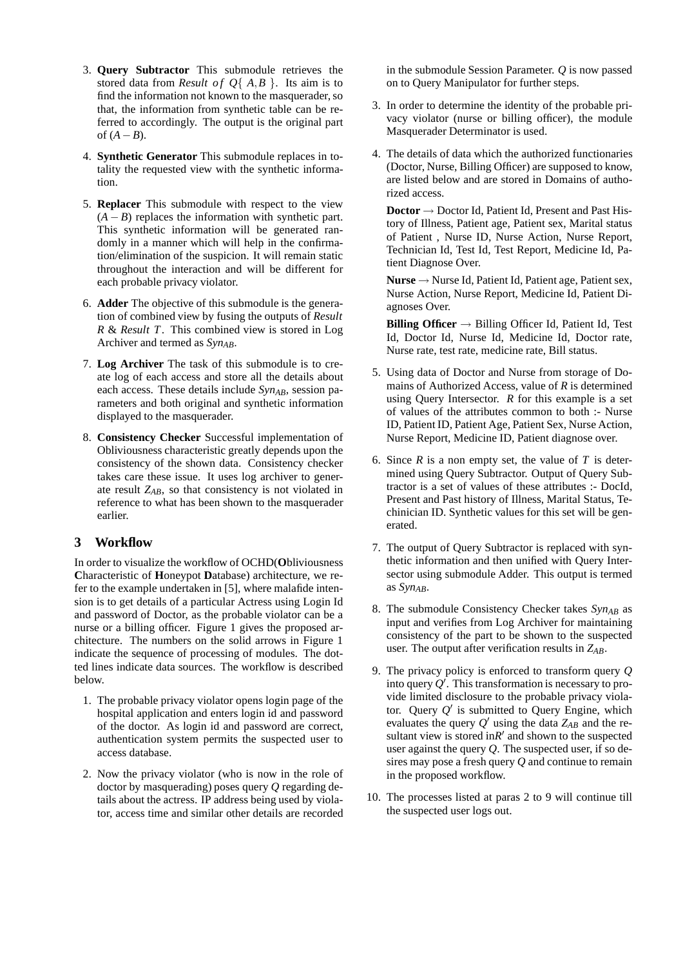- 3. **Query Subtractor** This submodule retrieves the stored data from *Result of Q*{ $A, B$ }. Its aim is to find the information not known to the masquerader, so that, the information from synthetic table can be referred to accordingly. The output is the original part of  $(A - B)$ .
- 4. **Synthetic Generator** This submodule replaces in totality the requested view with the synthetic information.
- 5. **Replacer** This submodule with respect to the view  $(A - B)$  replaces the information with synthetic part. This synthetic information will be generated randomly in a manner which will help in the confirmation/elimination of the suspicion. It will remain static throughout the interaction and will be different for each probable privacy violator.
- 6. **Adder** The objective of this submodule is the generation of combined view by fusing the outputs of *Result R* & *Result T*. This combined view is stored in Log Archiver and termed as *SynAB*.
- 7. **Log Archiver** The task of this submodule is to create log of each access and store all the details about each access. These details include  $Syn_{AB}$ , session parameters and both original and synthetic information displayed to the masquerader.
- 8. **Consistency Checker** Successful implementation of Obliviousness characteristic greatly depends upon the consistency of the shown data. Consistency checker takes care these issue. It uses log archiver to generate result *ZAB*, so that consistency is not violated in reference to what has been shown to the masquerader earlier.

# **3 Workflow**

In order to visualize the workflow of OCHD(**O**bliviousness **C**haracteristic of **H**oneypot **D**atabase) architecture, we refer to the example undertaken in [5], where malafide intension is to get details of a particular Actress using Login Id and password of Doctor, as the probable violator can be a nurse or a billing officer. Figure 1 gives the proposed architecture. The numbers on the solid arrows in Figure 1 indicate the sequence of processing of modules. The dotted lines indicate data sources. The workflow is described below.

- 1. The probable privacy violator opens login page of the hospital application and enters login id and password of the doctor. As login id and password are correct, authentication system permits the suspected user to access database.
- 2. Now the privacy violator (who is now in the role of doctor by masquerading) poses query *Q* regarding details about the actress. IP address being used by violator, access time and similar other details are recorded

in the submodule Session Parameter. *Q* is now passed on to Query Manipulator for further steps.

- 3. In order to determine the identity of the probable privacy violator (nurse or billing officer), the module Masquerader Determinator is used.
- 4. The details of data which the authorized functionaries (Doctor, Nurse, Billing Officer) are supposed to know, are listed below and are stored in Domains of authorized access.

**Doctor** → Doctor Id, Patient Id, Present and Past History of Illness, Patient age, Patient sex, Marital status of Patient , Nurse ID, Nurse Action, Nurse Report, Technician Id, Test Id, Test Report, Medicine Id, Patient Diagnose Over.

**Nurse** → Nurse Id, Patient Id, Patient age, Patient sex, Nurse Action, Nurse Report, Medicine Id, Patient Diagnoses Over.

**Billing Officer** → Billing Officer Id, Patient Id, Test Id, Doctor Id, Nurse Id, Medicine Id, Doctor rate, Nurse rate, test rate, medicine rate, Bill status.

- 5. Using data of Doctor and Nurse from storage of Domains of Authorized Access, value of *R* is determined using Query Intersector. *R* for this example is a set of values of the attributes common to both :- Nurse ID, Patient ID, Patient Age, Patient Sex, Nurse Action, Nurse Report, Medicine ID, Patient diagnose over.
- 6. Since *R* is a non empty set, the value of *T* is determined using Query Subtractor. Output of Query Subtractor is a set of values of these attributes :- DocId, Present and Past history of Illness, Marital Status, Techinician ID. Synthetic values for this set will be generated.
- 7. The output of Query Subtractor is replaced with synthetic information and then unified with Query Intersector using submodule Adder. This output is termed as *SynAB*.
- 8. The submodule Consistency Checker takes *SynAB* as input and verifies from Log Archiver for maintaining consistency of the part to be shown to the suspected user. The output after verification results in *ZAB*.
- 9. The privacy policy is enforced to transform query *Q* into query  $Q'$ . This transformation is necessary to provide limited disclosure to the probable privacy violator. Query  $Q'$  is submitted to Query Engine, which evaluates the query *Q* ′ using the data *ZAB* and the resultant view is stored in $R'$  and shown to the suspected user against the query *Q*. The suspected user, if so desires may pose a fresh query *Q* and continue to remain in the proposed workflow.
- 10. The processes listed at paras 2 to 9 will continue till the suspected user logs out.